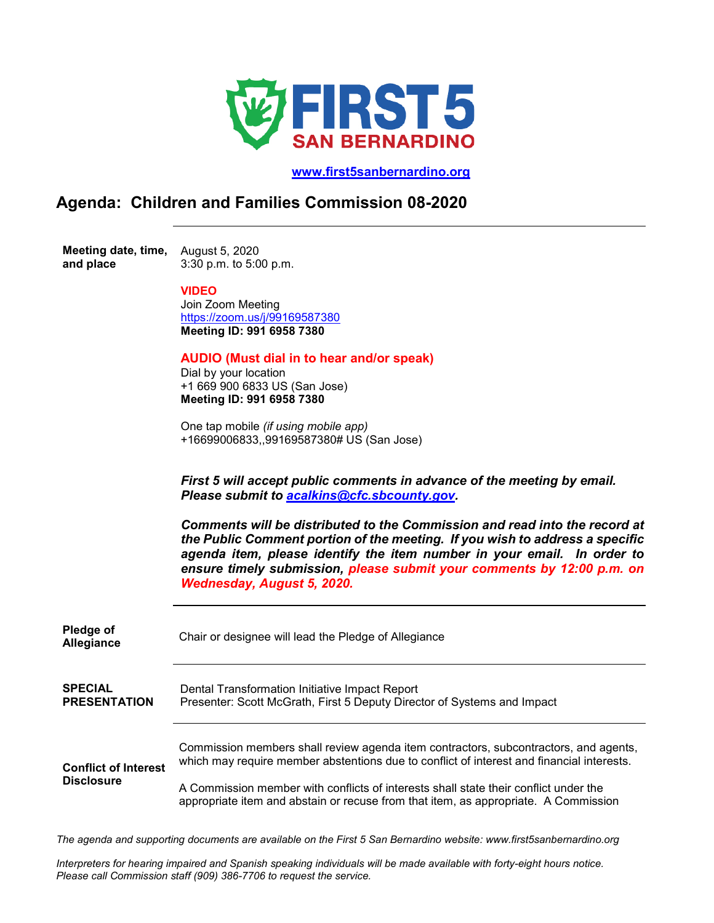

 **[www.first5sanbernardino.org](http://www.first5sanbernardino.org/)**

## **Agenda: Children and Families Commission 08-2020**

**Meeting date, time,**  August 5, 2020 **and place**  3:30 p.m. to 5:00 p.m.

## **VIDEO**

Join Zoom Meeting <https://zoom.us/j/99169587380> **Meeting ID: 991 6958 7380**

## **AUDIO (Must dial in to hear and/or speak)**

Dial by your location +1 669 900 6833 US (San Jose) **Meeting ID: 991 6958 7380**

One tap mobile *(if using mobile app)* +16699006833,,99169587380# US (San Jose)

*First 5 will accept public comments in advance of the meeting by email. Please submit to [acalkins@cfc.sbcounty.gov.](mailto:acalkins@cfc.sbcounty.gov)* 

*Comments will be distributed to the Commission and read into the record at the Public Comment portion of the meeting. If you wish to address a specific agenda item, please identify the item number in your email. In order to ensure timely submission, please submit your comments by 12:00 p.m. on Wednesday, August 5, 2020.*

| Pledge of<br>Allegiance     | Chair or designee will lead the Pledge of Allegiance                                                                                                                        |
|-----------------------------|-----------------------------------------------------------------------------------------------------------------------------------------------------------------------------|
| <b>SPECIAL</b>              | Dental Transformation Initiative Impact Report                                                                                                                              |
| <b>PRESENTATION</b>         | Presenter: Scott McGrath, First 5 Deputy Director of Systems and Impact                                                                                                     |
| <b>Conflict of Interest</b> | Commission members shall review agenda item contractors, subcontractors, and agents,                                                                                        |
| <b>Disclosure</b>           | which may require member abstentions due to conflict of interest and financial interests.                                                                                   |
|                             | A Commission member with conflicts of interests shall state their conflict under the<br>appropriate item and abstain or recuse from that item, as appropriate. A Commission |

*The agenda and supporting documents are available on the First 5 San Bernardino website: www.first5sanbernardino.org*

*Interpreters for hearing impaired and Spanish speaking individuals will be made available with forty-eight hours notice. Please call Commission staff (909) 386-7706 to request the service.*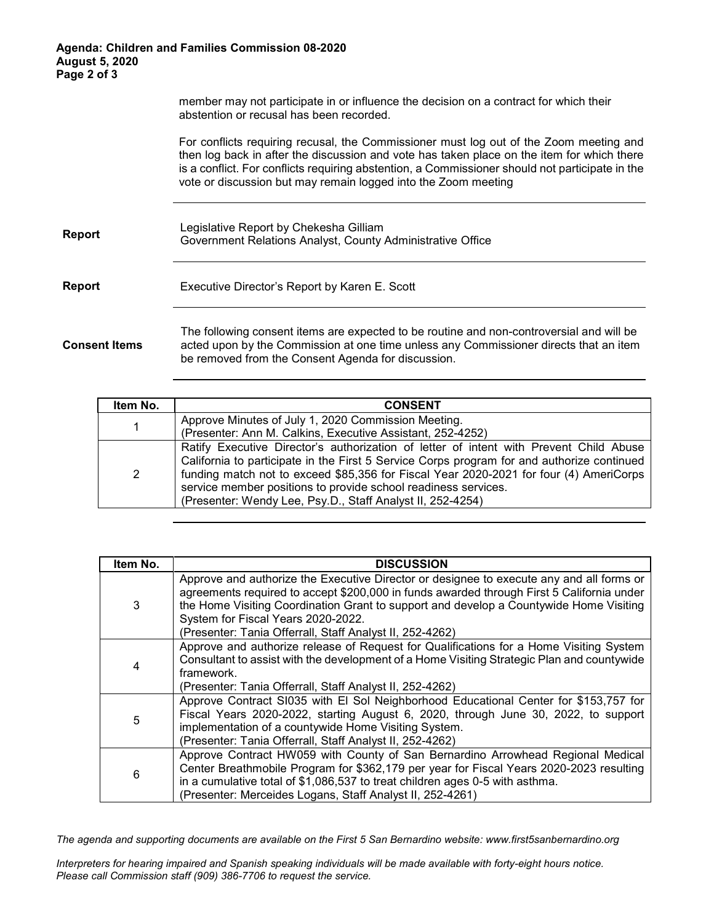## **Agenda: Children and Families Commission 08-2020 August 5, 2020 Page 2 of 3**

member may not participate in or influence the decision on a contract for which their abstention or recusal has been recorded.

For conflicts requiring recusal, the Commissioner must log out of the Zoom meeting and then log back in after the discussion and vote has taken place on the item for which there is a conflict. For conflicts requiring abstention, a Commissioner should not participate in the vote or discussion but may remain logged into the Zoom meeting

| Report |  | Legislative Report by Chekesha Gilliam<br>Government Relations Analyst, County Administrative Office |
|--------|--|------------------------------------------------------------------------------------------------------|
|--------|--|------------------------------------------------------------------------------------------------------|

| <b>Report</b> | Executive Director's Report by Karen E. Scott |  |
|---------------|-----------------------------------------------|--|
|               |                                               |  |

**Consent Items** The following consent items are expected to be routine and non-controversial and will be acted upon by the Commission at one time unless any Commissioner directs that an item be removed from the Consent Agenda for discussion.

| Item No. | <b>CONSENT</b>                                                                                                                                                                                                                                                                                                                                                                                                 |
|----------|----------------------------------------------------------------------------------------------------------------------------------------------------------------------------------------------------------------------------------------------------------------------------------------------------------------------------------------------------------------------------------------------------------------|
|          | Approve Minutes of July 1, 2020 Commission Meeting.                                                                                                                                                                                                                                                                                                                                                            |
|          | (Presenter: Ann M. Calkins, Executive Assistant, 252-4252)                                                                                                                                                                                                                                                                                                                                                     |
| 2        | Ratify Executive Director's authorization of letter of intent with Prevent Child Abuse<br>California to participate in the First 5 Service Corps program for and authorize continued<br>funding match not to exceed \$85,356 for Fiscal Year 2020-2021 for four (4) AmeriCorps<br>service member positions to provide school readiness services.<br>(Presenter: Wendy Lee, Psy.D., Staff Analyst II, 252-4254) |

| Item No. | <b>DISCUSSION</b>                                                                                                                                                                                                                                                                                                                                                                 |
|----------|-----------------------------------------------------------------------------------------------------------------------------------------------------------------------------------------------------------------------------------------------------------------------------------------------------------------------------------------------------------------------------------|
| 3        | Approve and authorize the Executive Director or designee to execute any and all forms or<br>agreements required to accept \$200,000 in funds awarded through First 5 California under<br>the Home Visiting Coordination Grant to support and develop a Countywide Home Visiting<br>System for Fiscal Years 2020-2022.<br>(Presenter: Tania Offerrall, Staff Analyst II, 252-4262) |
| 4        | Approve and authorize release of Request for Qualifications for a Home Visiting System<br>Consultant to assist with the development of a Home Visiting Strategic Plan and countywide<br>framework.<br>(Presenter: Tania Offerrall, Staff Analyst II, 252-4262)                                                                                                                    |
| 5        | Approve Contract SI035 with El Sol Neighborhood Educational Center for \$153,757 for<br>Fiscal Years 2020-2022, starting August 6, 2020, through June 30, 2022, to support<br>implementation of a countywide Home Visiting System.<br>(Presenter: Tania Offerrall, Staff Analyst II, 252-4262)                                                                                    |
| 6        | Approve Contract HW059 with County of San Bernardino Arrowhead Regional Medical<br>Center Breathmobile Program for \$362,179 per year for Fiscal Years 2020-2023 resulting<br>in a cumulative total of \$1,086,537 to treat children ages 0-5 with asthma.<br>(Presenter: Merceides Logans, Staff Analyst II, 252-4261)                                                           |

*The agenda and supporting documents are available on the First 5 San Bernardino website: www.first5sanbernardino.org*

*Interpreters for hearing impaired and Spanish speaking individuals will be made available with forty-eight hours notice. Please call Commission staff (909) 386-7706 to request the service.*